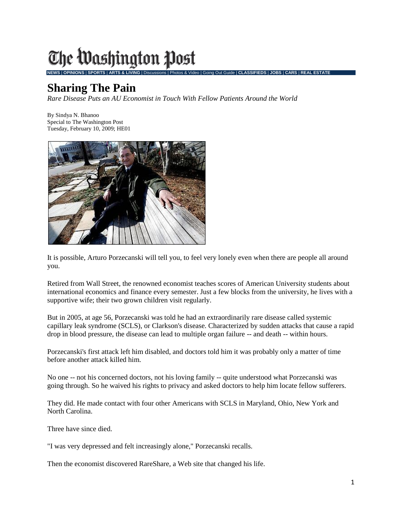# The Washington Post

**[NEWS](http://www.washingtonpost.com/?nav=pf)** | **[OPINIONS](http://www.washingtonpost.com/wp-dyn/content/opinions/?nav=pf)** | **[SPORTS](http://www.washingtonpost.com/wp-dyn/content/sports/?nav=pf)** | **[ARTS & LIVING](http://www.washingtonpost.com/wp-dyn/content/artsandliving/?nav=pf)** | [Discussions](http://www.washingtonpost.com/wp-dyn/content/liveonline/?nav=pf) | [Photos & Video](http://www.washingtonpost.com/wp-dyn/content/photo/?nav=pf) | [Going Out Guide](http://www.washingtonpost.com/gog/?nav=pf) | **[CLASSIFIEDS](http://www.washingtonpost.com/wp-srv/admin/classifieds/?nav=pf)** | **[JOBS](http://www.washingtonpost.com/wl/jobs/home?nav=pf)** | **[CARS](http://www.washingtonpost.com/wp-dyn/content/cars/?nav=pf)** | **[REAL ESTATE](http://www.washingtonpost.com/wp-dyn/content/realestate/?nav=pf)**

## **Sharing The Pain**

*Rare Disease Puts an AU Economist in Touch With Fellow Patients Around the World*

By Sindya N. Bhanoo Special to The Washington Post Tuesday, February 10, 2009; HE01



It is possible, Arturo Porzecanski will tell you, to feel very lonely even when there are people all around you.

Retired from Wall Street, the renowned economist teaches scores of American University students about international economics and finance every semester. Just a few blocks from the university, he lives with a supportive wife; their two grown children visit regularly.

But in 2005, at age 56, Porzecanski was told he had an extraordinarily rare disease called systemic capillary leak syndrome (SCLS), or Clarkson's disease. Characterized by sudden attacks that cause a rapid drop in blood pressure, the disease can lead to multiple organ failure -- and death -- within hours.

Porzecanski's first attack left him disabled, and doctors told him it was probably only a matter of time before another attack killed him.

No one -- not his concerned doctors, not his loving family -- quite understood what Porzecanski was going through. So he waived his rights to privacy and asked doctors to help him locate fellow sufferers.

They did. He made contact with four other Americans with SCLS in Maryland, Ohio, New York and North Carolina.

Three have since died.

"I was very depressed and felt increasingly alone," Porzecanski recalls.

Then the economist discovered RareShare, a Web site that changed his life.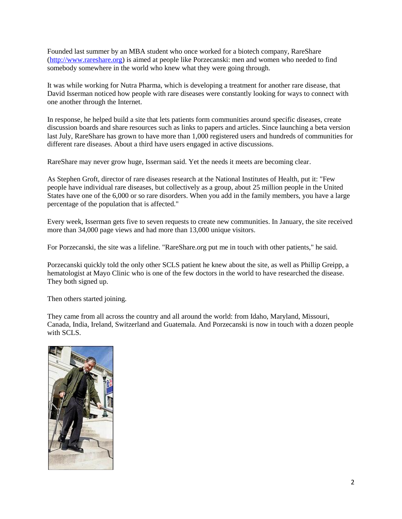Founded last summer by an MBA student who once worked for a biotech company, RareShare [\(http://www.rareshare.org\)](http://www.rareshare.org/) is aimed at people like Porzecanski: men and women who needed to find somebody somewhere in the world who knew what they were going through.

It was while working for Nutra Pharma, which is developing a treatment for another rare disease, that David Isserman noticed how people with rare diseases were constantly looking for ways to connect with one another through the Internet.

In response, he helped build a site that lets patients form communities around specific diseases, create discussion boards and share resources such as links to papers and articles. Since launching a beta version last July, RareShare has grown to have more than 1,000 registered users and hundreds of communities for different rare diseases. About a third have users engaged in active discussions.

RareShare may never grow huge, Isserman said. Yet the needs it meets are becoming clear.

As Stephen Groft, director of rare diseases research at the National Institutes of Health, put it: "Few people have individual rare diseases, but collectively as a group, about 25 million people in the United States have one of the 6,000 or so rare disorders. When you add in the family members, you have a large percentage of the population that is affected."

Every week, Isserman gets five to seven requests to create new communities. In January, the site received more than 34,000 page views and had more than 13,000 unique visitors.

For Porzecanski, the site was a lifeline. "RareShare.org put me in touch with other patients," he said.

Porzecanski quickly told the only other SCLS patient he knew about the site, as well as Phillip Greipp, a hematologist at Mayo Clinic who is one of the few doctors in the world to have researched the disease. They both signed up.

Then others started joining.

They came from all across the country and all around the world: from Idaho, Maryland, Missouri, Canada, India, Ireland, Switzerland and Guatemala. And Porzecanski is now in touch with a dozen people with SCLS.

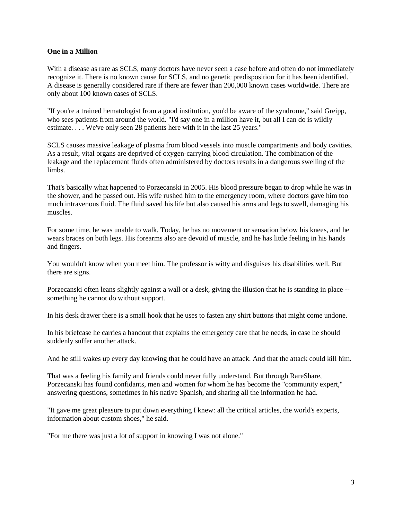#### **One in a Million**

With a disease as rare as SCLS, many doctors have never seen a case before and often do not immediately recognize it. There is no known cause for SCLS, and no genetic predisposition for it has been identified. A disease is generally considered rare if there are fewer than 200,000 known cases worldwide. There are only about 100 known cases of SCLS.

"If you're a trained hematologist from a good institution, you'd be aware of the syndrome," said Greipp, who sees patients from around the world. "I'd say one in a million have it, but all I can do is wildly estimate. . . . We've only seen 28 patients here with it in the last 25 years."

SCLS causes massive leakage of plasma from blood vessels into muscle compartments and body cavities. As a result, vital organs are deprived of oxygen-carrying blood circulation. The combination of the leakage and the replacement fluids often administered by doctors results in a dangerous swelling of the limbs.

That's basically what happened to Porzecanski in 2005. His blood pressure began to drop while he was in the shower, and he passed out. His wife rushed him to the emergency room, where doctors gave him too much intravenous fluid. The fluid saved his life but also caused his arms and legs to swell, damaging his muscles.

For some time, he was unable to walk. Today, he has no movement or sensation below his knees, and he wears braces on both legs. His forearms also are devoid of muscle, and he has little feeling in his hands and fingers.

You wouldn't know when you meet him. The professor is witty and disguises his disabilities well. But there are signs.

Porzecanski often leans slightly against a wall or a desk, giving the illusion that he is standing in place - something he cannot do without support.

In his desk drawer there is a small hook that he uses to fasten any shirt buttons that might come undone.

In his briefcase he carries a handout that explains the emergency care that he needs, in case he should suddenly suffer another attack.

And he still wakes up every day knowing that he could have an attack. And that the attack could kill him.

That was a feeling his family and friends could never fully understand. But through RareShare, Porzecanski has found confidants, men and women for whom he has become the "community expert," answering questions, sometimes in his native Spanish, and sharing all the information he had.

"It gave me great pleasure to put down everything I knew: all the critical articles, the world's experts, information about custom shoes," he said.

"For me there was just a lot of support in knowing I was not alone."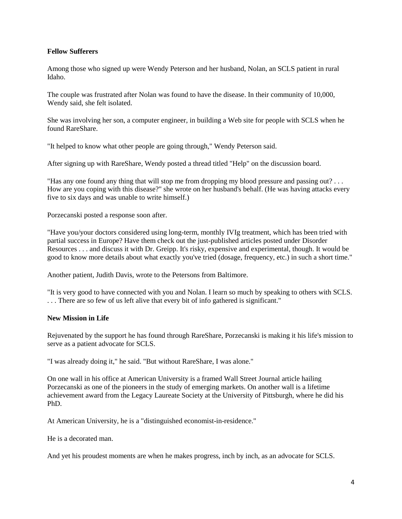#### **Fellow Sufferers**

Among those who signed up were Wendy Peterson and her husband, Nolan, an SCLS patient in rural Idaho.

The couple was frustrated after Nolan was found to have the disease. In their community of 10,000, Wendy said, she felt isolated.

She was involving her son, a computer engineer, in building a Web site for people with SCLS when he found RareShare.

"It helped to know what other people are going through," Wendy Peterson said.

After signing up with RareShare, Wendy posted a thread titled "Help" on the discussion board.

"Has any one found any thing that will stop me from dropping my blood pressure and passing out? . . . How are you coping with this disease?" she wrote on her husband's behalf. (He was having attacks every five to six days and was unable to write himself.)

Porzecanski posted a response soon after.

"Have you/your doctors considered using long-term, monthly IVIg treatment, which has been tried with partial success in Europe? Have them check out the just-published articles posted under Disorder Resources . . . and discuss it with Dr. Greipp. It's risky, expensive and experimental, though. It would be good to know more details about what exactly you've tried (dosage, frequency, etc.) in such a short time."

Another patient, Judith Davis, wrote to the Petersons from Baltimore.

"It is very good to have connected with you and Nolan. I learn so much by speaking to others with SCLS. . . . There are so few of us left alive that every bit of info gathered is significant."

#### **New Mission in Life**

Rejuvenated by the support he has found through RareShare, Porzecanski is making it his life's mission to serve as a patient advocate for SCLS.

"I was already doing it," he said. "But without RareShare, I was alone."

On one wall in his office at American University is a framed Wall Street Journal article hailing Porzecanski as one of the pioneers in the study of emerging markets. On another wall is a lifetime achievement award from the Legacy Laureate Society at the University of Pittsburgh, where he did his PhD.

At American University, he is a "distinguished economist-in-residence."

He is a decorated man.

And yet his proudest moments are when he makes progress, inch by inch, as an advocate for SCLS.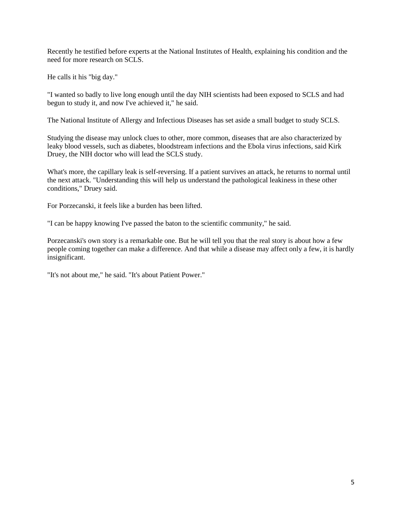Recently he testified before experts at the National Institutes of Health, explaining his condition and the need for more research on SCLS.

He calls it his "big day."

"I wanted so badly to live long enough until the day NIH scientists had been exposed to SCLS and had begun to study it, and now I've achieved it," he said.

The National Institute of Allergy and Infectious Diseases has set aside a small budget to study SCLS.

Studying the disease may unlock clues to other, more common, diseases that are also characterized by leaky blood vessels, such as diabetes, bloodstream infections and the Ebola virus infections, said Kirk Druey, the NIH doctor who will lead the SCLS study.

What's more, the capillary leak is self-reversing. If a patient survives an attack, he returns to normal until the next attack. "Understanding this will help us understand the pathological leakiness in these other conditions," Druey said.

For Porzecanski, it feels like a burden has been lifted.

"I can be happy knowing I've passed the baton to the scientific community," he said.

Porzecanski's own story is a remarkable one. But he will tell you that the real story is about how a few people coming together can make a difference. And that while a disease may affect only a few, it is hardly insignificant.

"It's not about me," he said. "It's about Patient Power."